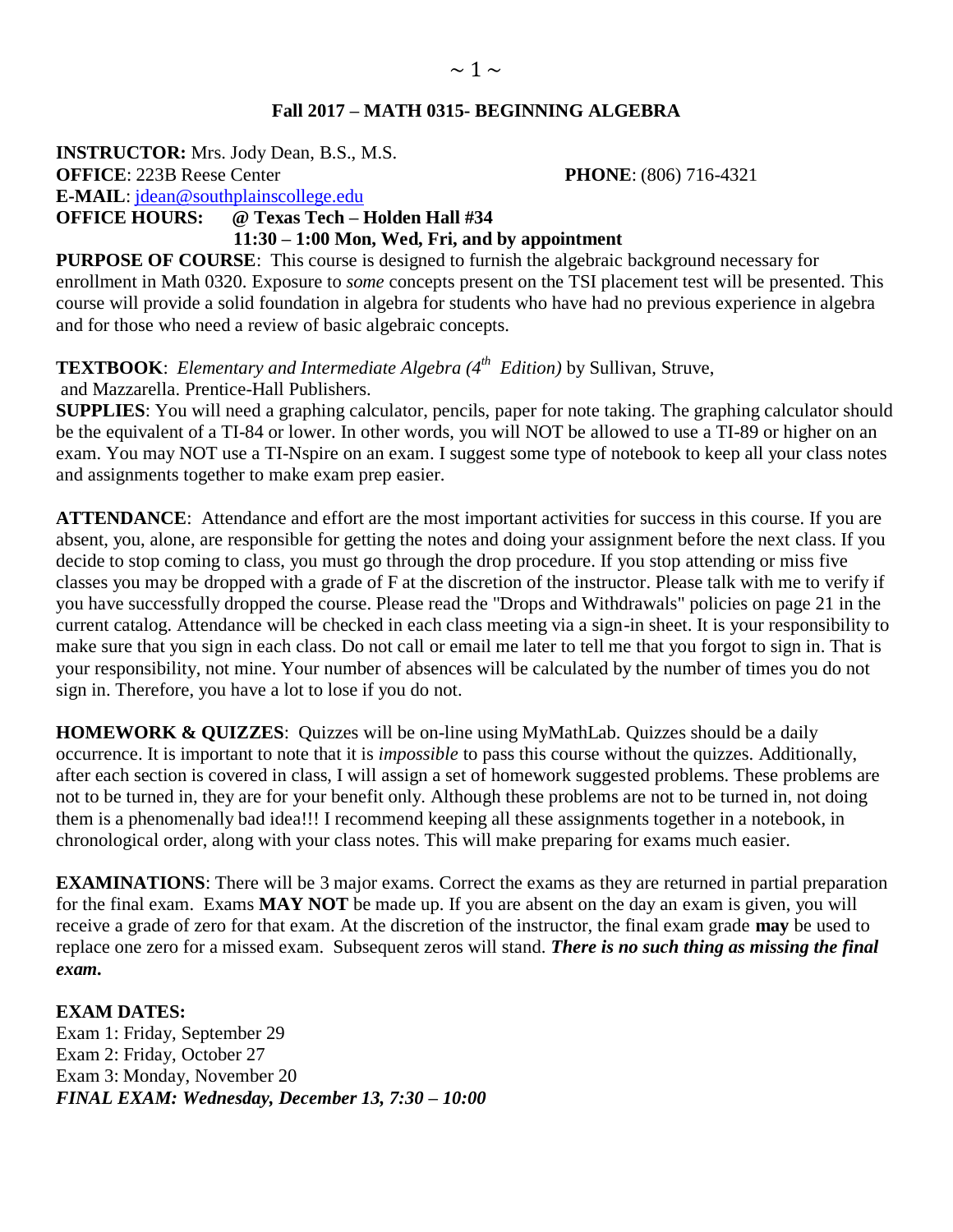**INSTRUCTOR:** Mrs. Jody Dean, B.S., M.S. **OFFICE**: 223B Reese Center **PHONE**: (806) 716-4321 **E-MAIL**: [jdean@southplainscollege.edu](mailto:jdean@southplainscollege.edu)  **OFFICE HOURS: @ Texas Tech – Holden Hall #34 11:30 – 1:00 Mon, Wed, Fri, and by appointment**

**PURPOSE OF COURSE:** This course is designed to furnish the algebraic background necessary for enrollment in Math 0320. Exposure to *some* concepts present on the TSI placement test will be presented. This course will provide a solid foundation in algebra for students who have had no previous experience in algebra and for those who need a review of basic algebraic concepts.

**TEXTBOOK**: *Elementary and Intermediate Algebra (4 th Edition)* by Sullivan, Struve, and Mazzarella. Prentice-Hall Publishers.

**SUPPLIES**: You will need a graphing calculator, pencils, paper for note taking. The graphing calculator should be the equivalent of a TI-84 or lower. In other words, you will NOT be allowed to use a TI-89 or higher on an exam. You may NOT use a TI-Nspire on an exam. I suggest some type of notebook to keep all your class notes and assignments together to make exam prep easier.

**ATTENDANCE**: Attendance and effort are the most important activities for success in this course. If you are absent, you, alone, are responsible for getting the notes and doing your assignment before the next class. If you decide to stop coming to class, you must go through the drop procedure. If you stop attending or miss five classes you may be dropped with a grade of F at the discretion of the instructor. Please talk with me to verify if you have successfully dropped the course. Please read the "Drops and Withdrawals" policies on page 21 in the current catalog. Attendance will be checked in each class meeting via a sign-in sheet. It is your responsibility to make sure that you sign in each class. Do not call or email me later to tell me that you forgot to sign in. That is your responsibility, not mine. Your number of absences will be calculated by the number of times you do not sign in. Therefore, you have a lot to lose if you do not.

**HOMEWORK & QUIZZES**: Quizzes will be on-line using MyMathLab. Quizzes should be a daily occurrence. It is important to note that it is *impossible* to pass this course without the quizzes. Additionally, after each section is covered in class, I will assign a set of homework suggested problems. These problems are not to be turned in, they are for your benefit only. Although these problems are not to be turned in, not doing them is a phenomenally bad idea!!! I recommend keeping all these assignments together in a notebook, in chronological order, along with your class notes. This will make preparing for exams much easier.

**EXAMINATIONS**: There will be 3 major exams. Correct the exams as they are returned in partial preparation for the final exam. Exams **MAY NOT** be made up. If you are absent on the day an exam is given, you will receive a grade of zero for that exam. At the discretion of the instructor, the final exam grade **may** be used to replace one zero for a missed exam. Subsequent zeros will stand. *There is no such thing as missing the final exam.*

## **EXAM DATES:**

Exam 1: Friday, September 29 Exam 2: Friday, October 27 Exam 3: Monday, November 20 *FINAL EXAM: Wednesday, December 13, 7:30 – 10:00*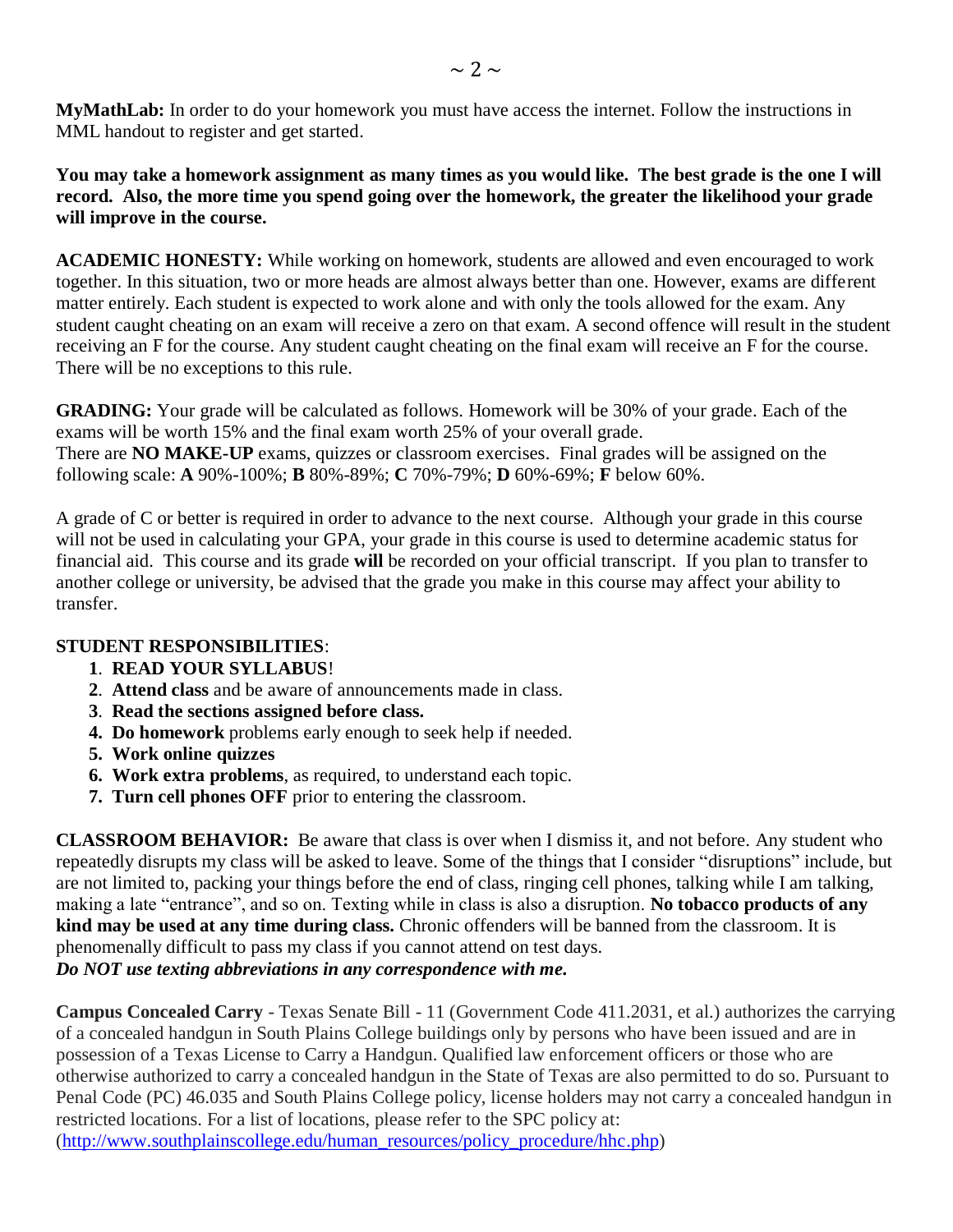**MyMathLab:** In order to do your homework you must have access the internet. Follow the instructions in MML handout to register and get started.

**You may take a homework assignment as many times as you would like. The best grade is the one I will record. Also, the more time you spend going over the homework, the greater the likelihood your grade will improve in the course.**

**ACADEMIC HONESTY:** While working on homework, students are allowed and even encouraged to work together. In this situation, two or more heads are almost always better than one. However, exams are different matter entirely. Each student is expected to work alone and with only the tools allowed for the exam. Any student caught cheating on an exam will receive a zero on that exam. A second offence will result in the student receiving an F for the course. Any student caught cheating on the final exam will receive an F for the course. There will be no exceptions to this rule.

**GRADING:** Your grade will be calculated as follows. Homework will be 30% of your grade. Each of the exams will be worth 15% and the final exam worth 25% of your overall grade. There are **NO MAKE-UP** exams, quizzes or classroom exercises. Final grades will be assigned on the following scale: **A** 90%-100%; **B** 80%-89%; **C** 70%-79%; **D** 60%-69%; **F** below 60%.

A grade of C or better is required in order to advance to the next course. Although your grade in this course will not be used in calculating your GPA, your grade in this course is used to determine academic status for financial aid. This course and its grade **will** be recorded on your official transcript. If you plan to transfer to another college or university, be advised that the grade you make in this course may affect your ability to transfer.

## **STUDENT RESPONSIBILITIES**:

- **1**. **READ YOUR SYLLABUS**!
- **2**. **Attend class** and be aware of announcements made in class.
- **3**. **Read the sections assigned before class.**
- **4. Do homework** problems early enough to seek help if needed.
- **5. Work online quizzes**
- **6. Work extra problems**, as required, to understand each topic.
- **7. Turn cell phones OFF** prior to entering the classroom.

**CLASSROOM BEHAVIOR:** Be aware that class is over when I dismiss it, and not before. Any student who repeatedly disrupts my class will be asked to leave. Some of the things that I consider "disruptions" include, but are not limited to, packing your things before the end of class, ringing cell phones, talking while I am talking, making a late "entrance", and so on. Texting while in class is also a disruption. **No tobacco products of any kind may be used at any time during class.** Chronic offenders will be banned from the classroom. It is phenomenally difficult to pass my class if you cannot attend on test days. *Do NOT use texting abbreviations in any correspondence with me.*

**Campus Concealed Carry** - Texas Senate Bill - 11 (Government Code 411.2031, et al.) authorizes the carrying of a concealed handgun in South Plains College buildings only by persons who have been issued and are in possession of a Texas License to Carry a Handgun. Qualified law enforcement officers or those who are otherwise authorized to carry a concealed handgun in the State of Texas are also permitted to do so. Pursuant to Penal Code (PC) 46.035 and South Plains College policy, license holders may not carry a concealed handgun in restricted locations. For a list of locations, please refer to the SPC policy at: [\(http://www.southplainscollege.edu/human\\_resources/policy\\_procedure/hhc.php\)](http://www.southplainscollege.edu/human_resources/policy_procedure/hhc.php)